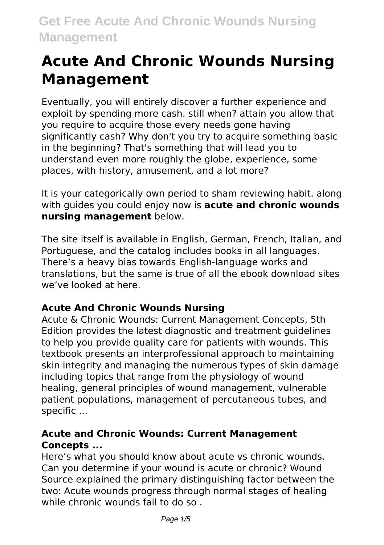# **Acute And Chronic Wounds Nursing Management**

Eventually, you will entirely discover a further experience and exploit by spending more cash. still when? attain you allow that you require to acquire those every needs gone having significantly cash? Why don't you try to acquire something basic in the beginning? That's something that will lead you to understand even more roughly the globe, experience, some places, with history, amusement, and a lot more?

It is your categorically own period to sham reviewing habit. along with guides you could enjoy now is **acute and chronic wounds nursing management** below.

The site itself is available in English, German, French, Italian, and Portuguese, and the catalog includes books in all languages. There's a heavy bias towards English-language works and translations, but the same is true of all the ebook download sites we've looked at here.

## **Acute And Chronic Wounds Nursing**

Acute & Chronic Wounds: Current Management Concepts, 5th Edition provides the latest diagnostic and treatment guidelines to help you provide quality care for patients with wounds. This textbook presents an interprofessional approach to maintaining skin integrity and managing the numerous types of skin damage including topics that range from the physiology of wound healing, general principles of wound management, vulnerable patient populations, management of percutaneous tubes, and specific ...

## **Acute and Chronic Wounds: Current Management Concepts ...**

Here's what you should know about acute vs chronic wounds. Can you determine if your wound is acute or chronic? Wound Source explained the primary distinguishing factor between the two: Acute wounds progress through normal stages of healing while chronic wounds fail to do so.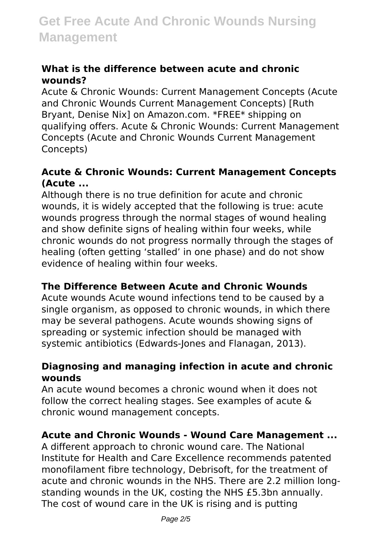#### **What is the difference between acute and chronic wounds?**

Acute & Chronic Wounds: Current Management Concepts (Acute and Chronic Wounds Current Management Concepts) [Ruth Bryant, Denise Nix] on Amazon.com. \*FREE\* shipping on qualifying offers. Acute & Chronic Wounds: Current Management Concepts (Acute and Chronic Wounds Current Management Concepts)

#### **Acute & Chronic Wounds: Current Management Concepts (Acute ...**

Although there is no true definition for acute and chronic wounds, it is widely accepted that the following is true: acute wounds progress through the normal stages of wound healing and show definite signs of healing within four weeks, while chronic wounds do not progress normally through the stages of healing (often getting 'stalled' in one phase) and do not show evidence of healing within four weeks.

## **The Difference Between Acute and Chronic Wounds**

Acute wounds Acute wound infections tend to be caused by a single organism, as opposed to chronic wounds, in which there may be several pathogens. Acute wounds showing signs of spreading or systemic infection should be managed with systemic antibiotics (Edwards-Jones and Flanagan, 2013).

#### **Diagnosing and managing infection in acute and chronic wounds**

An acute wound becomes a chronic wound when it does not follow the correct healing stages. See examples of acute & chronic wound management concepts.

#### **Acute and Chronic Wounds - Wound Care Management ...**

A different approach to chronic wound care. The National Institute for Health and Care Excellence recommends patented monofilament fibre technology, Debrisoft, for the treatment of acute and chronic wounds in the NHS. There are 2.2 million longstanding wounds in the UK, costing the NHS £5.3bn annually. The cost of wound care in the UK is rising and is putting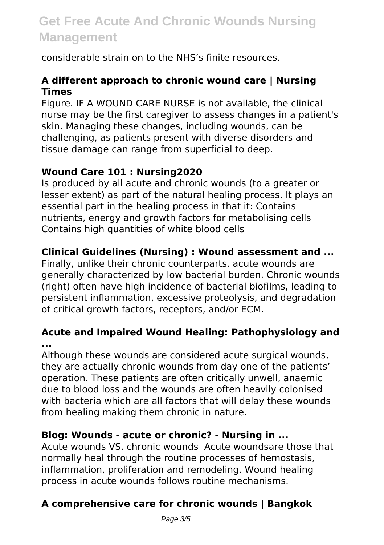# **Get Free Acute And Chronic Wounds Nursing Management**

considerable strain on to the NHS's finite resources.

## **A different approach to chronic wound care | Nursing Times**

Figure. IF A WOUND CARE NURSE is not available, the clinical nurse may be the first caregiver to assess changes in a patient's skin. Managing these changes, including wounds, can be challenging, as patients present with diverse disorders and tissue damage can range from superficial to deep.

## **Wound Care 101 : Nursing2020**

Is produced by all acute and chronic wounds (to a greater or lesser extent) as part of the natural healing process. It plays an essential part in the healing process in that it: Contains nutrients, energy and growth factors for metabolising cells Contains high quantities of white blood cells

# **Clinical Guidelines (Nursing) : Wound assessment and ...**

Finally, unlike their chronic counterparts, acute wounds are generally characterized by low bacterial burden. Chronic wounds (right) often have high incidence of bacterial biofilms, leading to persistent inflammation, excessive proteolysis, and degradation of critical growth factors, receptors, and/or ECM.

#### **Acute and Impaired Wound Healing: Pathophysiology and ...**

Although these wounds are considered acute surgical wounds, they are actually chronic wounds from day one of the patients' operation. These patients are often critically unwell, anaemic due to blood loss and the wounds are often heavily colonised with bacteria which are all factors that will delay these wounds from healing making them chronic in nature.

## **Blog: Wounds - acute or chronic? - Nursing in ...**

Acute wounds VS. chronic wounds Acute woundsare those that normally heal through the routine processes of hemostasis, inflammation, proliferation and remodeling. Wound healing process in acute wounds follows routine mechanisms.

# **A comprehensive care for chronic wounds | Bangkok**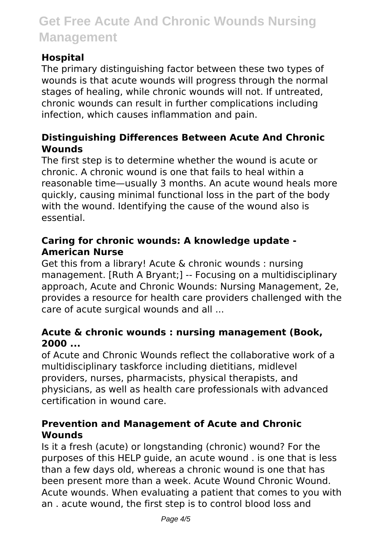# **Get Free Acute And Chronic Wounds Nursing Management**

#### **Hospital**

The primary distinguishing factor between these two types of wounds is that acute wounds will progress through the normal stages of healing, while chronic wounds will not. If untreated, chronic wounds can result in further complications including infection, which causes inflammation and pain.

#### **Distinguishing Differences Between Acute And Chronic Wounds**

The first step is to determine whether the wound is acute or chronic. A chronic wound is one that fails to heal within a reasonable time—usually 3 months. An acute wound heals more quickly, causing minimal functional loss in the part of the body with the wound. Identifying the cause of the wound also is essential.

#### **Caring for chronic wounds: A knowledge update - American Nurse**

Get this from a library! Acute & chronic wounds : nursing management. [Ruth A Bryant;] -- Focusing on a multidisciplinary approach, Acute and Chronic Wounds: Nursing Management, 2e, provides a resource for health care providers challenged with the care of acute surgical wounds and all ...

#### **Acute & chronic wounds : nursing management (Book, 2000 ...**

of Acute and Chronic Wounds reflect the collaborative work of a multidisciplinary taskforce including dietitians, midlevel providers, nurses, pharmacists, physical therapists, and physicians, as well as health care professionals with advanced certification in wound care.

#### **Prevention and Management of Acute and Chronic Wounds**

Is it a fresh (acute) or longstanding (chronic) wound? For the purposes of this HELP guide, an acute wound . is one that is less than a few days old, whereas a chronic wound is one that has been present more than a week. Acute Wound Chronic Wound. Acute wounds. When evaluating a patient that comes to you with an . acute wound, the first step is to control blood loss and